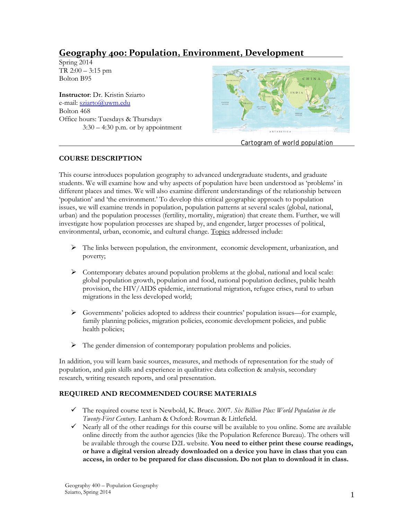# **Geography 400: Population, Environment, Development**

Spring 2014  $TR 2:00 - 3:15$  pm Bolton B95

**Instructor**: Dr. Kristin Sziarto e-mail: [sziarto@uwm.edu](mailto:sziarto@uwm.edu) Bolton 468 Office hours: Tuesdays & Thursdays  $3:30 - 4:30$  p.m. or by appointment



*Cartogram of world population*

# **COURSE DESCRIPTION**

This course introduces population geography to advanced undergraduate students, and graduate students. We will examine how and why aspects of population have been understood as 'problems' in different places and times. We will also examine different understandings of the relationship between 'population' and 'the environment.' To develop this critical geographic approach to population issues, we will examine trends in population, population patterns at several scales (global, national, urban) and the population processes (fertility, mortality, migration) that create them. Further, we will investigate how population processes are shaped by, and engender, larger processes of political, environmental, urban, economic, and cultural change. Topics addressed include:

- $\triangleright$  The links between population, the environment, economic development, urbanization, and poverty;
- $\triangleright$  Contemporary debates around population problems at the global, national and local scale: global population growth, population and food, national population declines, public health provision, the HIV/AIDS epidemic, international migration, refugee crises, rural to urban migrations in the less developed world;
- $\triangleright$  Governments' policies adopted to address their countries' population issues—for example, family planning policies, migration policies, economic development policies, and public health policies;
- $\triangleright$  The gender dimension of contemporary population problems and policies.

In addition, you will learn basic sources, measures, and methods of representation for the study of population, and gain skills and experience in qualitative data collection & analysis, secondary research, writing research reports, and oral presentation.

## **REQUIRED AND RECOMMENDED COURSE MATERIALS**

- The required course text is Newbold, K. Bruce. 2007. *Six Billion Plus: World Population in the Twenty-First Century*. Lanham & Oxford: Rowman & Littlefield.
- $\checkmark$  Nearly all of the other readings for this course will be available to you online. Some are available online directly from the author agencies (like the Population Reference Bureau). The others will be available through the course D2L website. **You need to either print these course readings, or have a digital version already downloaded on a device you have in class that you can access, in order to be prepared for class discussion. Do not plan to download it in class.**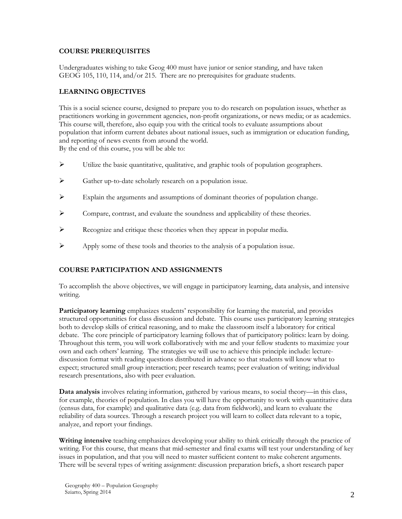## **COURSE PREREQUISITES**

Undergraduates wishing to take Geog 400 must have junior or senior standing, and have taken GEOG 105, 110, 114, and/or 215. There are no prerequisites for graduate students.

# **LEARNING OBJECTIVES**

This is a social science course, designed to prepare you to do research on population issues, whether as practitioners working in government agencies, non-profit organizations, or news media; or as academics. This course will, therefore, also equip you with the critical tools to evaluate assumptions about population that inform current debates about national issues, such as immigration or education funding, and reporting of news events from around the world. By the end of this course, you will be able to:

- $\triangleright$  Utilize the basic quantitative, qualitative, and graphic tools of population geographers.
- $\triangleright$  Gather up-to-date scholarly research on a population issue.
- $\triangleright$  Explain the arguments and assumptions of dominant theories of population change.
- $\triangleright$  Compare, contrast, and evaluate the soundness and applicability of these theories.
- Recognize and critique these theories when they appear in popular media.
- $\triangleright$  Apply some of these tools and theories to the analysis of a population issue.

# **COURSE PARTICIPATION AND ASSIGNMENTS**

To accomplish the above objectives, we will engage in participatory learning, data analysis, and intensive writing.

**Participatory learning** emphasizes students' responsibility for learning the material, and provides structured opportunities for class discussion and debate. This course uses participatory learning strategies both to develop skills of critical reasoning, and to make the classroom itself a laboratory for critical debate. The core principle of participatory learning follows that of participatory politics: learn by doing. Throughout this term, you will work collaboratively with me and your fellow students to maximize your own and each others' learning. The strategies we will use to achieve this principle include: lecturediscussion format with reading questions distributed in advance so that students will know what to expect; structured small group interaction; peer research teams; peer evaluation of writing; individual research presentations, also with peer evaluation.

**Data analysis** involves relating information, gathered by various means, to social theory—in this class, for example, theories of population. In class you will have the opportunity to work with quantitative data (census data, for example) and qualitative data (e.g. data from fieldwork), and learn to evaluate the reliability of data sources. Through a research project you will learn to collect data relevant to a topic, analyze, and report your findings.

**Writing intensive** teaching emphasizes developing your ability to think critically through the practice of writing. For this course, that means that mid-semester and final exams will test your understanding of key issues in population, and that you will need to master sufficient content to make coherent arguments. There will be several types of writing assignment: discussion preparation briefs, a short research paper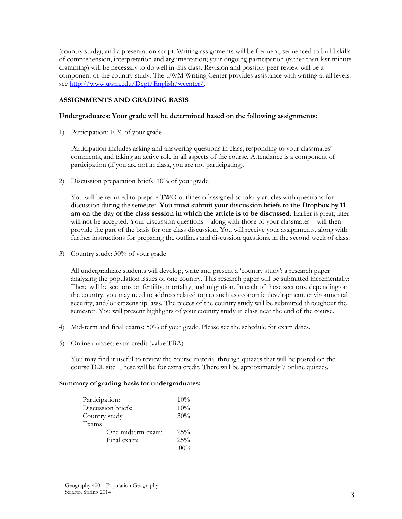(country study), and a presentation script. Writing assignments will be frequent, sequenced to build skills of comprehension, interpretation and argumentation; your ongoing participation (rather than last-minute cramming) will be necessary to do well in this class. Revision and possibly peer review will be a component of the country study. The UWM Writing Center provides assistance with writing at all levels: see [http://www.uwm.edu/Dept/English/wcenter/.](http://www.uwm.edu/Dept/English/wcenter/)

#### **ASSIGNMENTS AND GRADING BASIS**

#### **Undergraduates: Your grade will be determined based on the following assignments:**

1) Participation: 10% of your grade

Participation includes asking and answering questions in class, responding to your classmates' comments, and taking an active role in all aspects of the course. Attendance is a component of participation (if you are not in class, you are not participating).

2) Discussion preparation briefs: 10% of your grade

You will be required to prepare TWO outlines of assigned scholarly articles with questions for discussion during the semester. **You must submit your discussion briefs to the Dropbox by 11 am on the day of the class session in which the article is to be discussed.** Earlier is great; later will not be accepted. Your discussion questions—along with those of your classmates—will then provide the part of the basis for our class discussion. You will receive your assignments, along with further instructions for preparing the outlines and discussion questions, in the second week of class.

3) Country study: 30% of your grade

All undergraduate students will develop, write and present a 'country study': a research paper analyzing the population issues of one country. This research paper will be submitted incrementally: There will be sections on fertility, mortality, and migration. In each of these sections, depending on the country, you may need to address related topics such as economic development, environmental security, and/or citizenship laws. The pieces of the country study will be submitted throughout the semester. You will present highlights of your country study in class near the end of the course.

- 4) Mid-term and final exams: 50% of your grade. Please see the schedule for exam dates.
- 5) Online quizzes: extra credit (value TBA)

You may find it useful to review the course material through quizzes that will be posted on the course D2L site. These will be for extra credit. There will be approximately 7 online quizzes.

#### **Summary of grading basis for undergraduates:**

| Participation:     | $10\%$  |
|--------------------|---------|
| Discussion briefs: | $10\%$  |
| Country study      | 30%     |
| Exams              |         |
| One midterm exam:  | $25\%$  |
| Final exam:        | 25%     |
|                    | $100\%$ |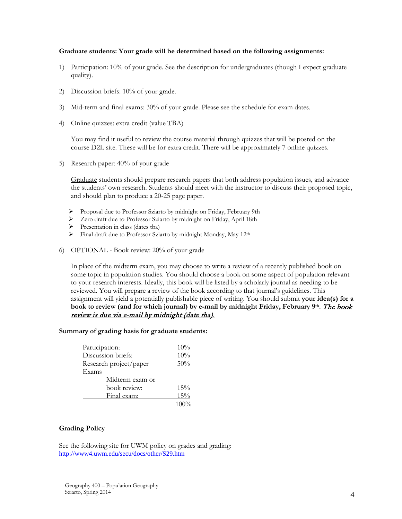#### **Graduate students: Your grade will be determined based on the following assignments:**

- 1) Participation: 10% of your grade. See the description for undergraduates (though I expect graduate quality).
- 2) Discussion briefs: 10% of your grade.
- 3) Mid-term and final exams: 30% of your grade. Please see the schedule for exam dates.
- 4) Online quizzes: extra credit (value TBA)

You may find it useful to review the course material through quizzes that will be posted on the course D2L site. These will be for extra credit. There will be approximately 7 online quizzes.

5) Research paper: 40% of your grade

Graduate students should prepare research papers that both address population issues, and advance the students' own research. Students should meet with the instructor to discuss their proposed topic, and should plan to produce a 20-25 page paper.

- Proposal due to Professor Sziarto by midnight on Friday, February 9th
- Zero draft due to Professor Sziarto by midnight on Friday, April 18th
- $\triangleright$  Presentation in class (dates tba)
- $\triangleright$  Final draft due to Professor Sziarto by midnight Monday, May 12<sup>th</sup>
- 6) OPTIONAL Book review: 20% of your grade

In place of the midterm exam, you may choose to write a review of a recently published book on some topic in population studies. You should choose a book on some aspect of population relevant to your research interests. Ideally, this book will be listed by a scholarly journal as needing to be reviewed. You will prepare a review of the book according to that journal's guidelines. This assignment will yield a potentially publishable piece of writing. You should submit **your idea(s) for a**  book to review (and for which journal) by e-mail by midnight Friday, February 9th. *The book* review is due via e-mail by midnight (date tba)*.* 

#### **Summary of grading basis for graduate students:**

| Participation:         | 10%     |
|------------------------|---------|
| Discussion briefs:     | 10%     |
| Research project/paper | 50%     |
| Exams                  |         |
| Midterm exam or        |         |
| book review:           | 15%     |
| Final exam:            | 15%     |
|                        | $100\%$ |

#### **Grading Policy**

See the following site for UWM policy on grades and grading: <http://www4.uwm.edu/secu/docs/other/S29.htm>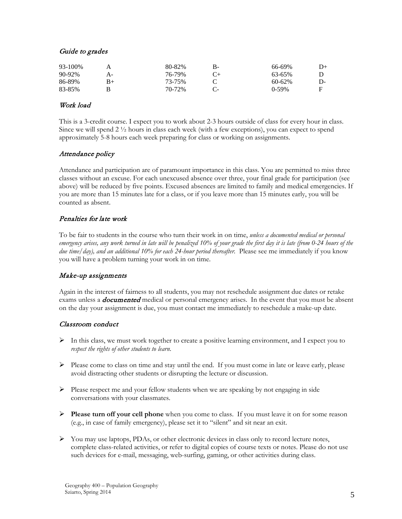## Guide to grades

| 93-100% |    | 80-82% | в- | 66-69% | $D+$ |
|---------|----|--------|----|--------|------|
| 90-92%  | А- | 76-79% |    | 63-65% |      |
| 86-89%  | B+ | 73-75% |    | 60-62% | D-   |
| 83-85%  |    | 70-72% |    | 0-59%  | F    |

## Work load

This is a 3-credit course. I expect you to work about 2-3 hours outside of class for every hour in class. Since we will spend 2 ½ hours in class each week (with a few exceptions), you can expect to spend approximately 5-8 hours each week preparing for class or working on assignments.

# Attendance policy

Attendance and participation are of paramount importance in this class. You are permitted to miss three classes without an excuse. For each unexcused absence over three, your final grade for participation (see above) will be reduced by five points. Excused absences are limited to family and medical emergencies. If you are more than 15 minutes late for a class, or if you leave more than 15 minutes early, you will be counted as absent.

# Penalties for late work

To be fair to students in the course who turn their work in on time, *unless a documented medical or personal emergency arises, any work turned in late will be penalized 10% of your grade the first day it is late (from 0-24 hours of the due time/day), and an additional 10% for each 24-hour period thereafter.* Please see me immediately if you know you will have a problem turning your work in on time.

## Make-up assignments

Again in the interest of fairness to all students, you may not reschedule assignment due dates or retake exams unless a *documented* medical or personal emergency arises. In the event that you must be absent on the day your assignment is due, you must contact me immediately to reschedule a make-up date.

## Classroom conduct

- $\triangleright$  In this class, we must work together to create a positive learning environment, and I expect you to *respect the rights of other students to learn*.
- $\triangleright$  Please come to class on time and stay until the end. If you must come in late or leave early, please avoid distracting other students or disrupting the lecture or discussion.
- $\triangleright$  Please respect me and your fellow students when we are speaking by not engaging in side conversations with your classmates.
- **Please turn off your cell phone** when you come to class. If you must leave it on for some reason (e.g., in case of family emergency), please set it to "silent" and sit near an exit.
- $\triangleright$  You may use laptops, PDAs, or other electronic devices in class only to record lecture notes, complete class-related activities, or refer to digital copies of course texts or notes. Please do not use such devices for e-mail, messaging, web-surfing, gaming, or other activities during class.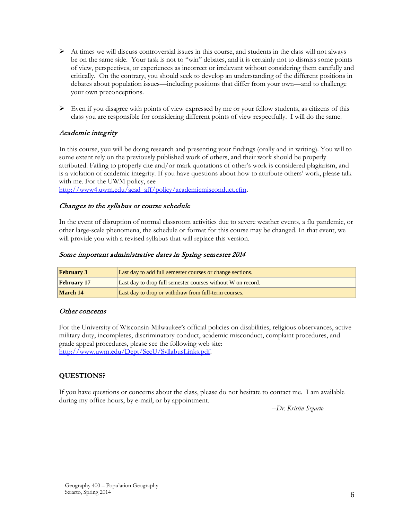- $\triangleright$  At times we will discuss controversial issues in this course, and students in the class will not always be on the same side. Your task is not to "win" debates, and it is certainly not to dismiss some points of view, perspectives, or experiences as incorrect or irrelevant without considering them carefully and critically. On the contrary, you should seek to develop an understanding of the different positions in debates about population issues—including positions that differ from your own—and to challenge your own preconceptions.
- $\triangleright$  Even if you disagree with points of view expressed by me or your fellow students, as citizens of this class you are responsible for considering different points of view respectfully. I will do the same.

# Academic integrity

In this course, you will be doing research and presenting your findings (orally and in writing). You will to some extent rely on the previously published work of others, and their work should be properly attributed. Failing to properly cite and/or mark quotations of other's work is considered plagiarism, and is a violation of academic integrity. If you have questions about how to attribute others' work, please talk with me. For the UWM policy, see

[http://www4.uwm.edu/acad\\_aff/policy/academicmisconduct.cfm.](http://www4.uwm.edu/acad_aff/policy/academicmisconduct.cfm)

# Changes to the syllabus or course schedule

In the event of disruption of normal classroom activities due to severe weather events, a flu pandemic, or other large-scale phenomena, the schedule or format for this course may be changed. In that event, we will provide you with a revised syllabus that will replace this version.

# Some important administrative dates in Spring semester 2014

| <b>February 3</b>  | Last day to add full semester courses or change sections.   |
|--------------------|-------------------------------------------------------------|
| <b>February</b> 17 | Last day to drop full semester courses without W on record. |
| March 14           | Last day to drop or withdraw from full-term courses.        |

## Other concerns

For the University of Wisconsin-Milwaukee's official policies on disabilities, religious observances, active military duty, incompletes, discriminatory conduct, academic misconduct, complaint procedures, and grade appeal procedures, please see the following web site: [http://www.uwm.edu/Dept/SecU/SyllabusLinks.pdf.](http://www.uwm.edu/Dept/SecU/SyllabusLinks.pdf)

## **QUESTIONS?**

If you have questions or concerns about the class, please do not hesitate to contact me. I am available during my office hours, by e-mail, or by appointment.

--*Dr. Kristin Sziarto*